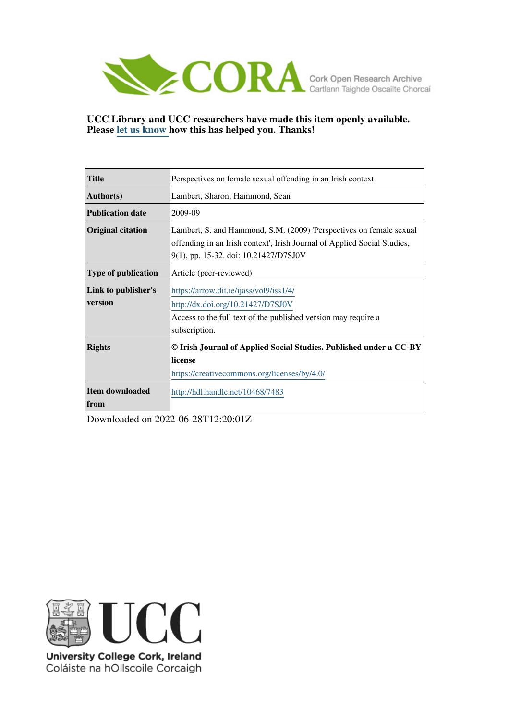

# **UCC Library and UCC researchers have made this item openly available. Please [let us know h](https://libguides.ucc.ie/openaccess/impact?suffix=7483&title=Perspectives on female sexual offending in an Irish context)ow this has helped you. Thanks!**

| <b>Title</b>                     | Perspectives on female sexual offending in an Irish context                                                                                                                              |
|----------------------------------|------------------------------------------------------------------------------------------------------------------------------------------------------------------------------------------|
| <b>Author(s)</b>                 | Lambert, Sharon; Hammond, Sean                                                                                                                                                           |
| Publication date                 | 2009-09                                                                                                                                                                                  |
| Original citation                | Lambert, S. and Hammond, S.M. (2009) 'Perspectives on female sexual<br>offending in an Irish context', Irish Journal of Applied Social Studies,<br>9(1), pp. 15-32. doi: 10.21427/D7SJ0V |
| <b>Type of publication</b>       | Article (peer-reviewed)                                                                                                                                                                  |
| Link to publisher's<br>version   | https://arrow.dit.ie/ijass/vol9/iss1/4/<br>http://dx.doi.org/10.21427/D7SJ0V<br>Access to the full text of the published version may require a<br>subscription.                          |
| <b>Rights</b>                    | © Irish Journal of Applied Social Studies. Published under a CC-BY<br>license<br>https://creativecommons.org/licenses/by/4.0/                                                            |
| <b>Item downloaded</b><br>  from | http://hdl.handle.net/10468/7483                                                                                                                                                         |

Downloaded on 2022-06-28T12:20:01Z



University College Cork, Ireland Coláiste na hOllscoile Corcaigh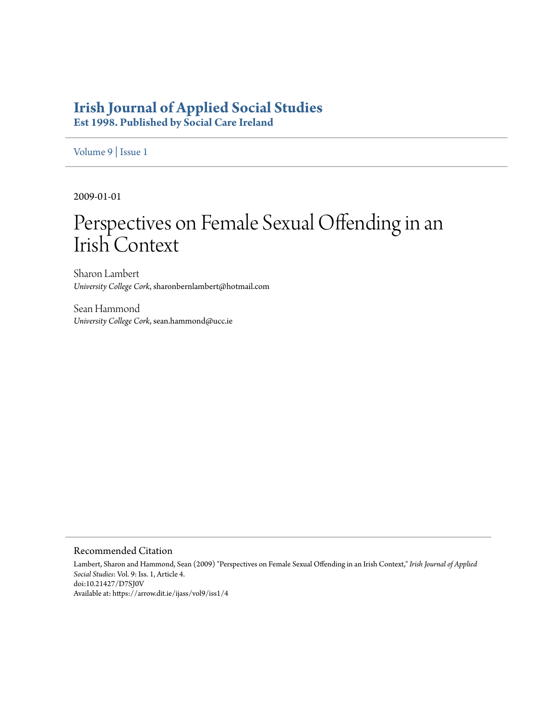# **[Irish Journal of Applied Social Studies](https://arrow.dit.ie/ijass)**

**Est 1998. Published by Social Care Ireland**

[Volume 9](https://arrow.dit.ie/ijass/vol9) | [Issue 1](https://arrow.dit.ie/ijass/vol9/iss1)

2009-01-01

# Perspectives on Female Sexual Offending in an Irish Context

Sharon Lambert *University College Cork*, sharonbernlambert@hotmail.com

Sean Hammond *University College Cork*, sean.hammond@ucc.ie

#### Recommended Citation

Lambert, Sharon and Hammond, Sean (2009) "Perspectives on Female Sexual Offending in an Irish Context," *Irish Journal of Applied Social Studies*: Vol. 9: Iss. 1, Article 4. doi:10.21427/D7SJ0V Available at: https://arrow.dit.ie/ijass/vol9/iss1/4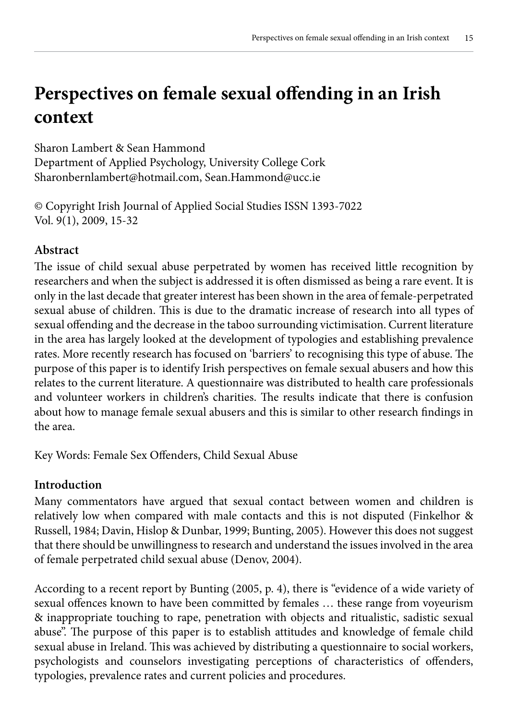# **Perspectives on female sexual offending in an Irish context**

Sharon Lambert & Sean Hammond Department of Applied Psychology, University College Cork Sharonbernlambert@hotmail.com, Sean.Hammond@ucc.ie

© Copyright Irish Journal of Applied Social Studies ISSN 1393-7022 Vol. 9(1), 2009, 15-32

# **Abstract**

The issue of child sexual abuse perpetrated by women has received little recognition by researchers and when the subject is addressed it is often dismissed as being a rare event. It is only in the last decade that greater interest has been shown in the area of female-perpetrated sexual abuse of children. This is due to the dramatic increase of research into all types of sexual offending and the decrease in the taboo surrounding victimisation. Current literature in the area has largely looked at the development of typologies and establishing prevalence rates. More recently research has focused on 'barriers' to recognising this type of abuse. The purpose of this paper is to identify Irish perspectives on female sexual abusers and how this relates to the current literature. A questionnaire was distributed to health care professionals and volunteer workers in children's charities. The results indicate that there is confusion about how to manage female sexual abusers and this is similar to other research findings in the area.

Key Words: Female Sex Offenders, Child Sexual Abuse

# **Introduction**

Many commentators have argued that sexual contact between women and children is relatively low when compared with male contacts and this is not disputed (Finkelhor & Russell, 1984; Davin, Hislop & Dunbar, 1999; Bunting, 2005). However this does not suggest that there should be unwillingness to research and understand the issues involved in the area of female perpetrated child sexual abuse (Denov, 2004).

According to a recent report by Bunting (2005, p. 4), there is "evidence of a wide variety of sexual offences known to have been committed by females … these range from voyeurism & inappropriate touching to rape, penetration with objects and ritualistic, sadistic sexual abuse". The purpose of this paper is to establish attitudes and knowledge of female child sexual abuse in Ireland. This was achieved by distributing a questionnaire to social workers, psychologists and counselors investigating perceptions of characteristics of offenders, typologies, prevalence rates and current policies and procedures.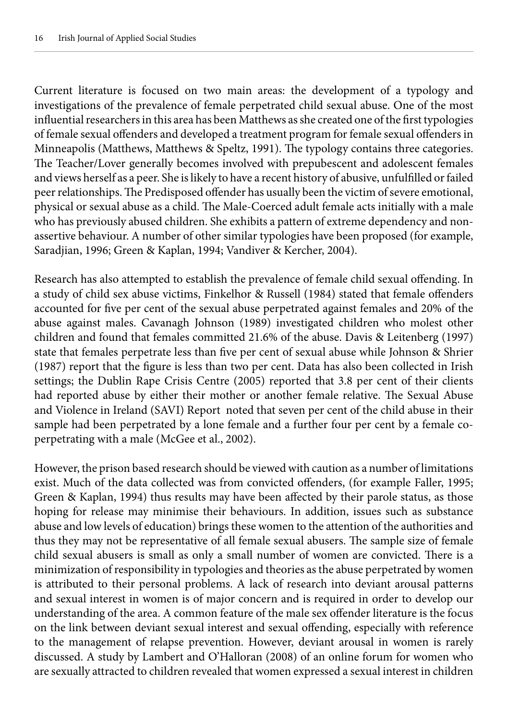Current literature is focused on two main areas: the development of a typology and investigations of the prevalence of female perpetrated child sexual abuse. One of the most influential researchers in this area has been Matthews as she created one of the first typologies of female sexual offenders and developed a treatment program for female sexual offenders in Minneapolis (Matthews, Matthews & Speltz, 1991). The typology contains three categories. The Teacher/Lover generally becomes involved with prepubescent and adolescent females and views herself as a peer. She is likely to have a recent history of abusive, unfulfilled or failed peer relationships. The Predisposed offender has usually been the victim of severe emotional, physical or sexual abuse as a child. The Male-Coerced adult female acts initially with a male who has previously abused children. She exhibits a pattern of extreme dependency and nonassertive behaviour. A number of other similar typologies have been proposed (for example, Saradjian, 1996; Green & Kaplan, 1994; Vandiver & Kercher, 2004).

Research has also attempted to establish the prevalence of female child sexual offending. In a study of child sex abuse victims, Finkelhor & Russell (1984) stated that female offenders accounted for five per cent of the sexual abuse perpetrated against females and 20% of the abuse against males. Cavanagh Johnson (1989) investigated children who molest other children and found that females committed 21.6% of the abuse. Davis & Leitenberg (1997) state that females perpetrate less than five per cent of sexual abuse while Johnson & Shrier (1987) report that the figure is less than two per cent. Data has also been collected in Irish settings; the Dublin Rape Crisis Centre (2005) reported that 3.8 per cent of their clients had reported abuse by either their mother or another female relative. The Sexual Abuse and Violence in Ireland (SAVI) Report noted that seven per cent of the child abuse in their sample had been perpetrated by a lone female and a further four per cent by a female coperpetrating with a male (McGee et al., 2002).

However, the prison based research should be viewed with caution as a number of limitations exist. Much of the data collected was from convicted offenders, (for example Faller, 1995; Green & Kaplan, 1994) thus results may have been affected by their parole status, as those hoping for release may minimise their behaviours. In addition, issues such as substance abuse and low levels of education) brings these women to the attention of the authorities and thus they may not be representative of all female sexual abusers. The sample size of female child sexual abusers is small as only a small number of women are convicted. There is a minimization of responsibility in typologies and theories as the abuse perpetrated by women is attributed to their personal problems. A lack of research into deviant arousal patterns and sexual interest in women is of major concern and is required in order to develop our understanding of the area. A common feature of the male sex offender literature is the focus on the link between deviant sexual interest and sexual offending, especially with reference to the management of relapse prevention. However, deviant arousal in women is rarely discussed. A study by Lambert and O'Halloran (2008) of an online forum for women who are sexually attracted to children revealed that women expressed a sexual interest in children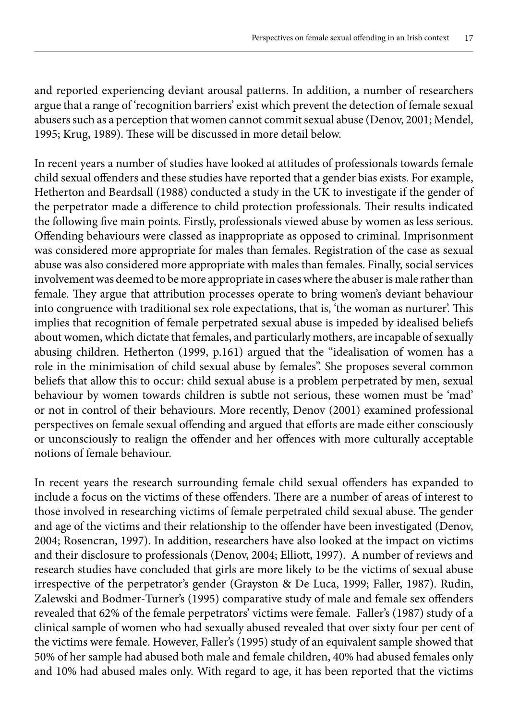and reported experiencing deviant arousal patterns. In addition, a number of researchers argue that a range of 'recognition barriers' exist which prevent the detection of female sexual abusers such as a perception that women cannot commit sexual abuse (Denov, 2001; Mendel, 1995; Krug, 1989). These will be discussed in more detail below.

In recent years a number of studies have looked at attitudes of professionals towards female child sexual offenders and these studies have reported that a gender bias exists. For example, Hetherton and Beardsall (1988) conducted a study in the UK to investigate if the gender of the perpetrator made a difference to child protection professionals. Their results indicated the following five main points. Firstly, professionals viewed abuse by women as less serious. Offending behaviours were classed as inappropriate as opposed to criminal. Imprisonment was considered more appropriate for males than females. Registration of the case as sexual abuse was also considered more appropriate with males than females. Finally, social services involvement was deemed to be more appropriate in cases where the abuser is male rather than female. They argue that attribution processes operate to bring women's deviant behaviour into congruence with traditional sex role expectations, that is, 'the woman as nurturer'. This implies that recognition of female perpetrated sexual abuse is impeded by idealised beliefs about women, which dictate that females, and particularly mothers, are incapable of sexually abusing children. Hetherton (1999, p.161) argued that the "idealisation of women has a role in the minimisation of child sexual abuse by females". She proposes several common beliefs that allow this to occur: child sexual abuse is a problem perpetrated by men, sexual behaviour by women towards children is subtle not serious, these women must be 'mad' or not in control of their behaviours. More recently, Denov (2001) examined professional perspectives on female sexual offending and argued that efforts are made either consciously or unconsciously to realign the offender and her offences with more culturally acceptable notions of female behaviour.

In recent years the research surrounding female child sexual offenders has expanded to include a focus on the victims of these offenders. There are a number of areas of interest to those involved in researching victims of female perpetrated child sexual abuse. The gender and age of the victims and their relationship to the offender have been investigated (Denov, 2004; Rosencran, 1997). In addition, researchers have also looked at the impact on victims and their disclosure to professionals (Denov, 2004; Elliott, 1997). A number of reviews and research studies have concluded that girls are more likely to be the victims of sexual abuse irrespective of the perpetrator's gender (Grayston & De Luca, 1999; Faller, 1987). Rudin, Zalewski and Bodmer-Turner's (1995) comparative study of male and female sex offenders revealed that 62% of the female perpetrators' victims were female. Faller's (1987) study of a clinical sample of women who had sexually abused revealed that over sixty four per cent of the victims were female. However, Faller's (1995) study of an equivalent sample showed that 50% of her sample had abused both male and female children, 40% had abused females only and 10% had abused males only. With regard to age, it has been reported that the victims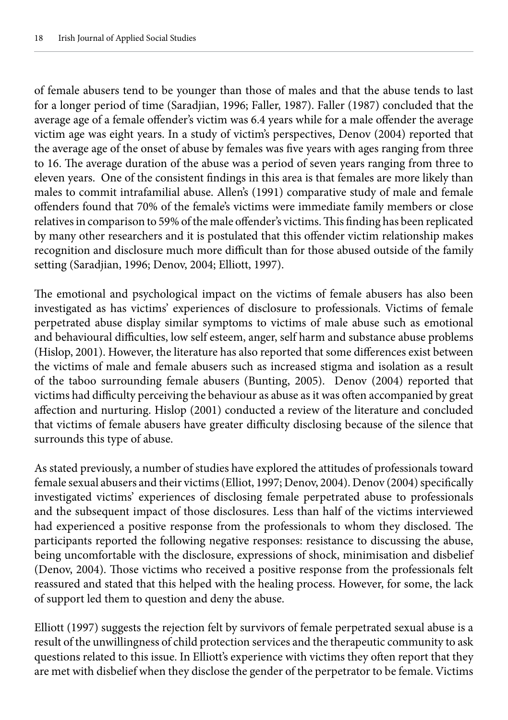of female abusers tend to be younger than those of males and that the abuse tends to last for a longer period of time (Saradjian, 1996; Faller, 1987). Faller (1987) concluded that the average age of a female offender's victim was 6.4 years while for a male offender the average victim age was eight years. In a study of victim's perspectives, Denov (2004) reported that the average age of the onset of abuse by females was five years with ages ranging from three to 16. The average duration of the abuse was a period of seven years ranging from three to eleven years. One of the consistent findings in this area is that females are more likely than males to commit intrafamilial abuse. Allen's (1991) comparative study of male and female offenders found that 70% of the female's victims were immediate family members or close relatives in comparison to 59% of the male offender's victims. This finding has been replicated by many other researchers and it is postulated that this offender victim relationship makes recognition and disclosure much more difficult than for those abused outside of the family setting (Saradjian, 1996; Denov, 2004; Elliott, 1997).

The emotional and psychological impact on the victims of female abusers has also been investigated as has victims' experiences of disclosure to professionals. Victims of female perpetrated abuse display similar symptoms to victims of male abuse such as emotional and behavioural difficulties, low self esteem, anger, self harm and substance abuse problems (Hislop, 2001). However, the literature has also reported that some differences exist between the victims of male and female abusers such as increased stigma and isolation as a result of the taboo surrounding female abusers (Bunting, 2005). Denov (2004) reported that victims had difficulty perceiving the behaviour as abuse as it was often accompanied by great affection and nurturing. Hislop (2001) conducted a review of the literature and concluded that victims of female abusers have greater difficulty disclosing because of the silence that surrounds this type of abuse.

As stated previously, a number of studies have explored the attitudes of professionals toward female sexual abusers and their victims (Elliot, 1997; Denov, 2004). Denov (2004) specifically investigated victims' experiences of disclosing female perpetrated abuse to professionals and the subsequent impact of those disclosures. Less than half of the victims interviewed had experienced a positive response from the professionals to whom they disclosed. The participants reported the following negative responses: resistance to discussing the abuse, being uncomfortable with the disclosure, expressions of shock, minimisation and disbelief (Denov, 2004). Those victims who received a positive response from the professionals felt reassured and stated that this helped with the healing process. However, for some, the lack of support led them to question and deny the abuse.

Elliott (1997) suggests the rejection felt by survivors of female perpetrated sexual abuse is a result of the unwillingness of child protection services and the therapeutic community to ask questions related to this issue. In Elliott's experience with victims they often report that they are met with disbelief when they disclose the gender of the perpetrator to be female. Victims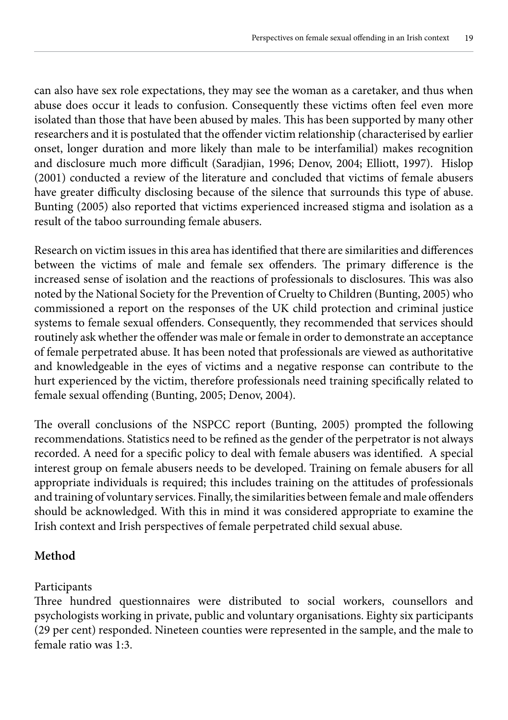can also have sex role expectations, they may see the woman as a caretaker, and thus when abuse does occur it leads to confusion. Consequently these victims often feel even more isolated than those that have been abused by males. This has been supported by many other researchers and it is postulated that the offender victim relationship (characterised by earlier onset, longer duration and more likely than male to be interfamilial) makes recognition and disclosure much more difficult (Saradjian, 1996; Denov, 2004; Elliott, 1997). Hislop (2001) conducted a review of the literature and concluded that victims of female abusers have greater difficulty disclosing because of the silence that surrounds this type of abuse. Bunting (2005) also reported that victims experienced increased stigma and isolation as a result of the taboo surrounding female abusers.

Research on victim issues in this area has identified that there are similarities and differences between the victims of male and female sex offenders. The primary difference is the increased sense of isolation and the reactions of professionals to disclosures. This was also noted by the National Society for the Prevention of Cruelty to Children (Bunting, 2005) who commissioned a report on the responses of the UK child protection and criminal justice systems to female sexual offenders. Consequently, they recommended that services should routinely ask whether the offender was male or female in order to demonstrate an acceptance of female perpetrated abuse. It has been noted that professionals are viewed as authoritative and knowledgeable in the eyes of victims and a negative response can contribute to the hurt experienced by the victim, therefore professionals need training specifically related to female sexual offending (Bunting, 2005; Denov, 2004).

The overall conclusions of the NSPCC report (Bunting, 2005) prompted the following recommendations. Statistics need to be refined as the gender of the perpetrator is not always recorded. A need for a specific policy to deal with female abusers was identified. A special interest group on female abusers needs to be developed. Training on female abusers for all appropriate individuals is required; this includes training on the attitudes of professionals and training of voluntary services. Finally, the similarities between female and male offenders should be acknowledged. With this in mind it was considered appropriate to examine the Irish context and Irish perspectives of female perpetrated child sexual abuse.

# **Method**

#### Participants

Three hundred questionnaires were distributed to social workers, counsellors and psychologists working in private, public and voluntary organisations. Eighty six participants (29 per cent) responded. Nineteen counties were represented in the sample, and the male to female ratio was 1:3.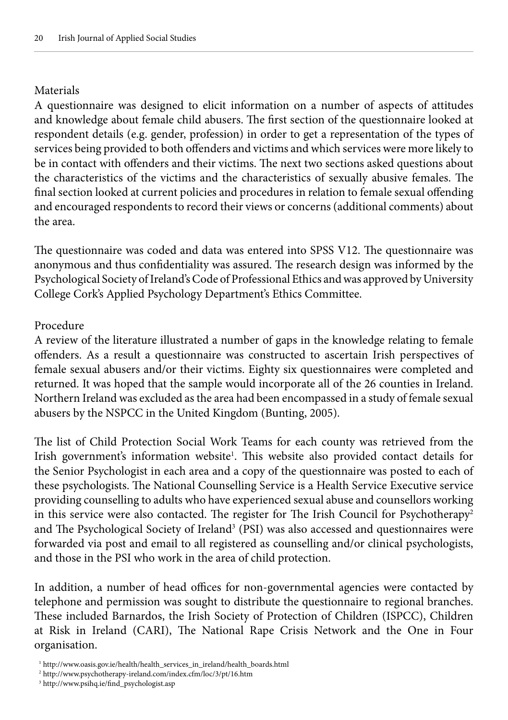#### **Materials**

A questionnaire was designed to elicit information on a number of aspects of attitudes and knowledge about female child abusers. The first section of the questionnaire looked at respondent details (e.g. gender, profession) in order to get a representation of the types of services being provided to both offenders and victims and which services were more likely to be in contact with offenders and their victims. The next two sections asked questions about the characteristics of the victims and the characteristics of sexually abusive females. The final section looked at current policies and procedures in relation to female sexual offending and encouraged respondents to record their views or concerns (additional comments) about the area.

The questionnaire was coded and data was entered into SPSS V12. The questionnaire was anonymous and thus confidentiality was assured. The research design was informed by the Psychological Society of Ireland's Code of Professional Ethics and was approved by University College Cork's Applied Psychology Department's Ethics Committee.

#### Procedure

A review of the literature illustrated a number of gaps in the knowledge relating to female offenders. As a result a questionnaire was constructed to ascertain Irish perspectives of female sexual abusers and/or their victims. Eighty six questionnaires were completed and returned. It was hoped that the sample would incorporate all of the 26 counties in Ireland. Northern Ireland was excluded as the area had been encompassed in a study of female sexual abusers by the NSPCC in the United Kingdom (Bunting, 2005).

The list of Child Protection Social Work Teams for each county was retrieved from the Irish government's information website<sup>1</sup>. This website also provided contact details for the Senior Psychologist in each area and a copy of the questionnaire was posted to each of these psychologists. The National Counselling Service is a Health Service Executive service providing counselling to adults who have experienced sexual abuse and counsellors working in this service were also contacted. The register for The Irish Council for Psychotherapy<sup>2</sup> and The Psychological Society of Ireland<sup>3</sup> (PSI) was also accessed and questionnaires were forwarded via post and email to all registered as counselling and/or clinical psychologists, and those in the PSI who work in the area of child protection.

In addition, a number of head offices for non-governmental agencies were contacted by telephone and permission was sought to distribute the questionnaire to regional branches. These included Barnardos, the Irish Society of Protection of Children (ISPCC), Children at Risk in Ireland (CARI), The National Rape Crisis Network and the One in Four organisation.

 <sup>1</sup> http://www.oasis.gov.ie/health/health\_services\_in\_ireland/health\_boards.html

 <sup>2</sup> http://www.psychotherapy-ireland.com/index.cfm/loc/3/pt/16.htm

 <sup>3</sup> http://www.psihq.ie/find\_psychologist.asp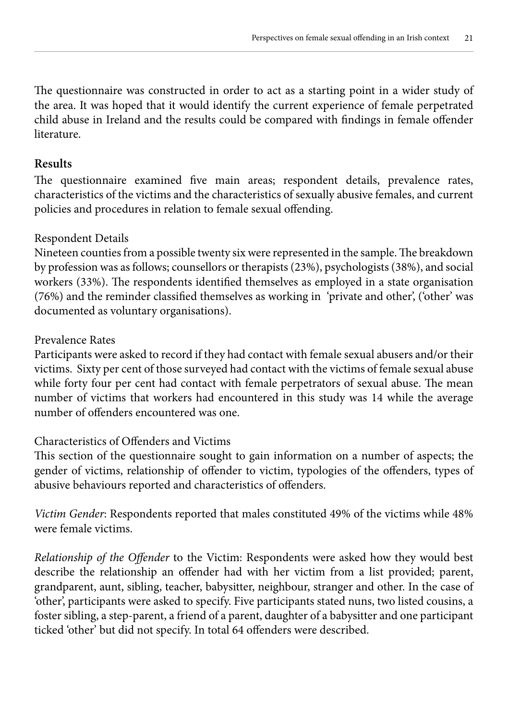The questionnaire was constructed in order to act as a starting point in a wider study of the area. It was hoped that it would identify the current experience of female perpetrated child abuse in Ireland and the results could be compared with findings in female offender literature.

### **Results**

The questionnaire examined five main areas; respondent details, prevalence rates, characteristics of the victims and the characteristics of sexually abusive females, and current policies and procedures in relation to female sexual offending.

#### Respondent Details

Nineteen counties from a possible twenty six were represented in the sample. The breakdown by profession was as follows; counsellors or therapists (23%), psychologists (38%), and social workers (33%). The respondents identified themselves as employed in a state organisation (76%) and the reminder classified themselves as working in 'private and other', ('other' was documented as voluntary organisations).

#### Prevalence Rates

Participants were asked to record if they had contact with female sexual abusers and/or their victims. Sixty per cent of those surveyed had contact with the victims of female sexual abuse while forty four per cent had contact with female perpetrators of sexual abuse. The mean number of victims that workers had encountered in this study was 14 while the average number of offenders encountered was one.

# Characteristics of Offenders and Victims

This section of the questionnaire sought to gain information on a number of aspects; the gender of victims, relationship of offender to victim, typologies of the offenders, types of abusive behaviours reported and characteristics of offenders.

*Victim Gender*: Respondents reported that males constituted 49% of the victims while 48% were female victims.

*Relationship of the Offender* to the Victim: Respondents were asked how they would best describe the relationship an offender had with her victim from a list provided; parent, grandparent, aunt, sibling, teacher, babysitter, neighbour, stranger and other. In the case of 'other', participants were asked to specify. Five participants stated nuns, two listed cousins, a foster sibling, a step-parent, a friend of a parent, daughter of a babysitter and one participant ticked 'other' but did not specify. In total 64 offenders were described.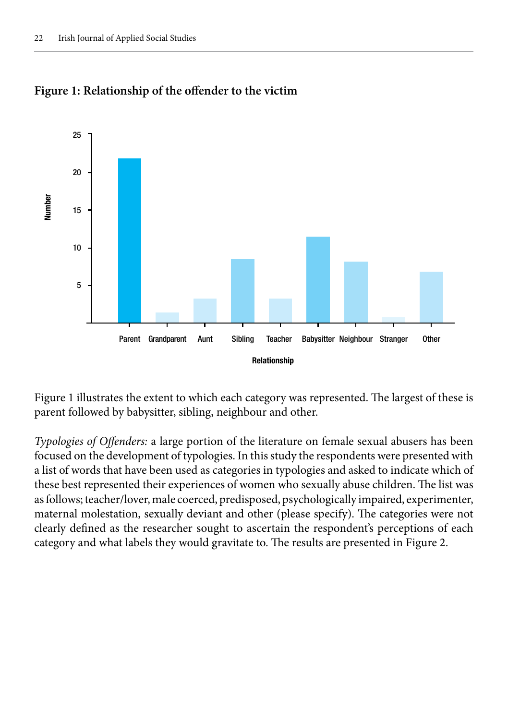



Figure 1 illustrates the extent to which each category was represented. The largest of these is parent followed by babysitter, sibling, neighbour and other.

*Typologies of Offenders:* a large portion of the literature on female sexual abusers has been focused on the development of typologies. In this study the respondents were presented with a list of words that have been used as categories in typologies and asked to indicate which of these best represented their experiences of women who sexually abuse children. The list was as follows; teacher/lover, male coerced, predisposed, psychologically impaired, experimenter, maternal molestation, sexually deviant and other (please specify). The categories were not clearly defined as the researcher sought to ascertain the respondent's perceptions of each category and what labels they would gravitate to. The results are presented in Figure 2.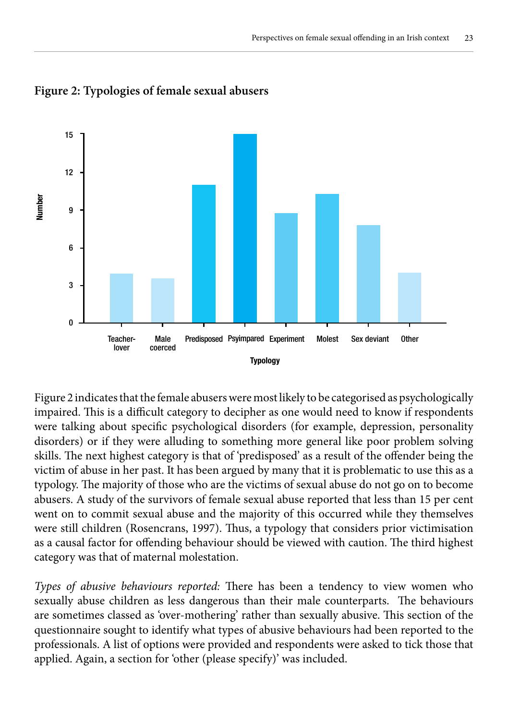



Figure 2 indicates that the female abusers were most likely to be categorised as psychologically impaired. This is a difficult category to decipher as one would need to know if respondents were talking about specific psychological disorders (for example, depression, personality disorders) or if they were alluding to something more general like poor problem solving skills. The next highest category is that of 'predisposed' as a result of the offender being the victim of abuse in her past. It has been argued by many that it is problematic to use this as a typology. The majority of those who are the victims of sexual abuse do not go on to become abusers. A study of the survivors of female sexual abuse reported that less than 15 per cent went on to commit sexual abuse and the majority of this occurred while they themselves were still children (Rosencrans, 1997). Thus, a typology that considers prior victimisation as a causal factor for offending behaviour should be viewed with caution. The third highest category was that of maternal molestation.

*Types of abusive behaviours reported:* There has been a tendency to view women who sexually abuse children as less dangerous than their male counterparts. The behaviours are sometimes classed as 'over-mothering' rather than sexually abusive. This section of the questionnaire sought to identify what types of abusive behaviours had been reported to the professionals. A list of options were provided and respondents were asked to tick those that applied. Again, a section for 'other (please specify)' was included.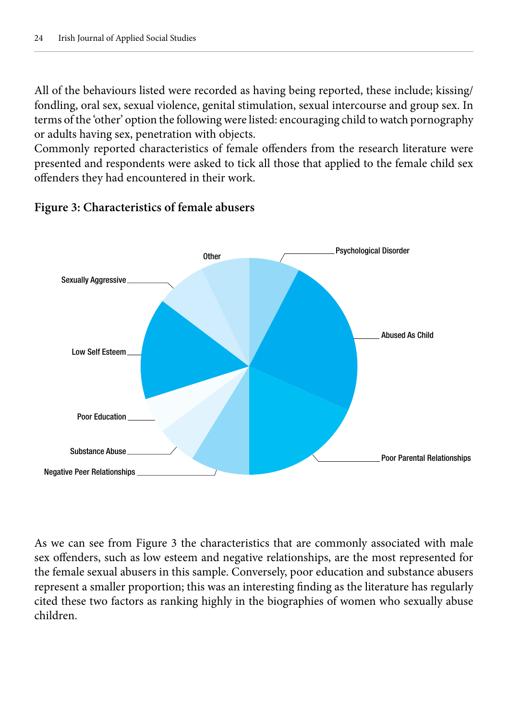All of the behaviours listed were recorded as having being reported, these include; kissing/ fondling, oral sex, sexual violence, genital stimulation, sexual intercourse and group sex. In terms of the 'other' option the following were listed: encouraging child to watch pornography or adults having sex, penetration with objects.

Commonly reported characteristics of female offenders from the research literature were presented and respondents were asked to tick all those that applied to the female child sex offenders they had encountered in their work.



## **Figure 3: Characteristics of female abusers**

As we can see from Figure 3 the characteristics that are commonly associated with male sex offenders, such as low esteem and negative relationships, are the most represented for the female sexual abusers in this sample. Conversely, poor education and substance abusers represent a smaller proportion; this was an interesting finding as the literature has regularly cited these two factors as ranking highly in the biographies of women who sexually abuse children.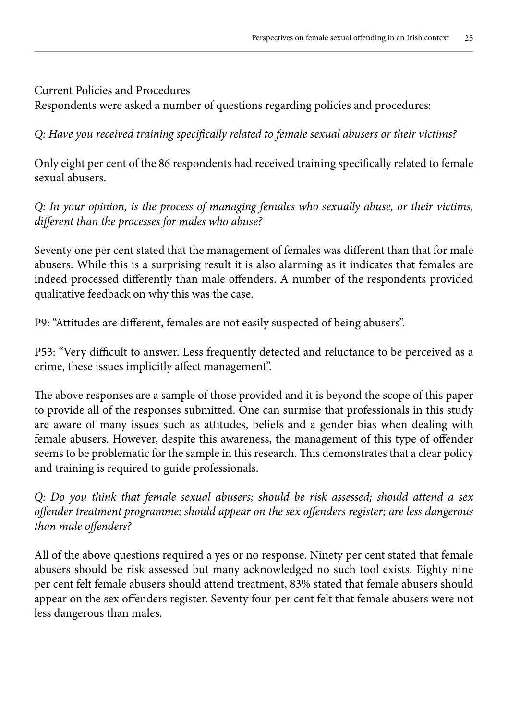#### Current Policies and Procedures

Respondents were asked a number of questions regarding policies and procedures:

*Q: Have you received training specifically related to female sexual abusers or their victims?*

Only eight per cent of the 86 respondents had received training specifically related to female sexual abusers.

*Q: In your opinion, is the process of managing females who sexually abuse, or their victims, different than the processes for males who abuse?*

Seventy one per cent stated that the management of females was different than that for male abusers. While this is a surprising result it is also alarming as it indicates that females are indeed processed differently than male offenders. A number of the respondents provided qualitative feedback on why this was the case.

P9: "Attitudes are different, females are not easily suspected of being abusers".

P53: "Very difficult to answer. Less frequently detected and reluctance to be perceived as a crime, these issues implicitly affect management".

The above responses are a sample of those provided and it is beyond the scope of this paper to provide all of the responses submitted. One can surmise that professionals in this study are aware of many issues such as attitudes, beliefs and a gender bias when dealing with female abusers. However, despite this awareness, the management of this type of offender seems to be problematic for the sample in this research. This demonstrates that a clear policy and training is required to guide professionals.

*Q: Do you think that female sexual abusers; should be risk assessed; should attend a sex offender treatment programme; should appear on the sex offenders register; are less dangerous than male offenders?*

All of the above questions required a yes or no response. Ninety per cent stated that female abusers should be risk assessed but many acknowledged no such tool exists. Eighty nine per cent felt female abusers should attend treatment, 83% stated that female abusers should appear on the sex offenders register. Seventy four per cent felt that female abusers were not less dangerous than males.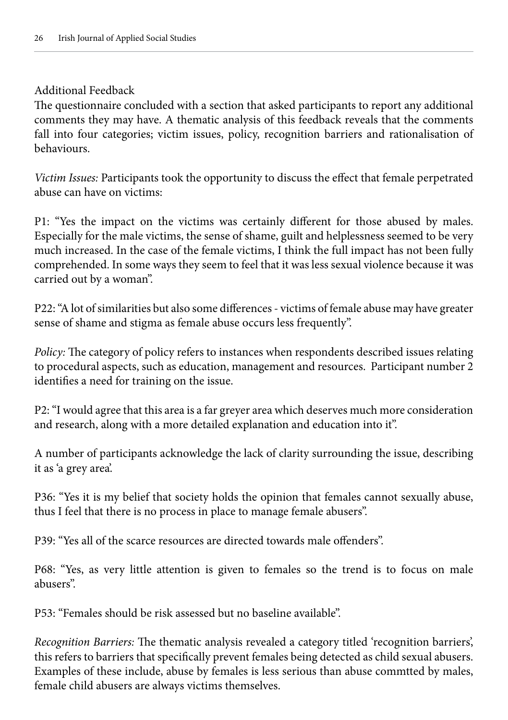#### Additional Feedback

The questionnaire concluded with a section that asked participants to report any additional comments they may have. A thematic analysis of this feedback reveals that the comments fall into four categories; victim issues, policy, recognition barriers and rationalisation of behaviours.

*Victim Issues:* Participants took the opportunity to discuss the effect that female perpetrated abuse can have on victims:

P1: "Yes the impact on the victims was certainly different for those abused by males. Especially for the male victims, the sense of shame, guilt and helplessness seemed to be very much increased. In the case of the female victims, I think the full impact has not been fully comprehended. In some ways they seem to feel that it was less sexual violence because it was carried out by a woman".

P22: "A lot of similarities but also some differences - victims of female abuse may have greater sense of shame and stigma as female abuse occurs less frequently".

*Policy:* The category of policy refers to instances when respondents described issues relating to procedural aspects, such as education, management and resources. Participant number 2 identifies a need for training on the issue.

P2: "I would agree that this area is a far greyer area which deserves much more consideration and research, along with a more detailed explanation and education into it".

A number of participants acknowledge the lack of clarity surrounding the issue, describing it as 'a grey area'.

P36: "Yes it is my belief that society holds the opinion that females cannot sexually abuse, thus I feel that there is no process in place to manage female abusers".

P39: "Yes all of the scarce resources are directed towards male offenders".

P68: "Yes, as very little attention is given to females so the trend is to focus on male abusers".

P53: "Females should be risk assessed but no baseline available".

*Recognition Barriers:* The thematic analysis revealed a category titled 'recognition barriers', this refers to barriers that specifically prevent females being detected as child sexual abusers. Examples of these include, abuse by females is less serious than abuse commtted by males, female child abusers are always victims themselves.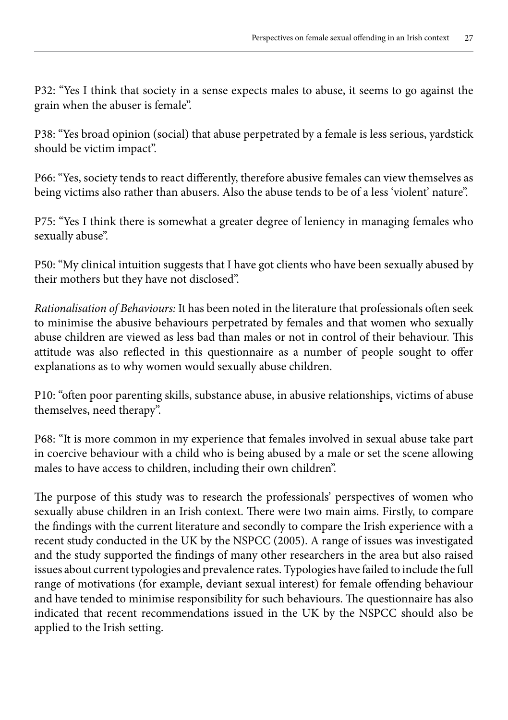P32: "Yes I think that society in a sense expects males to abuse, it seems to go against the grain when the abuser is female".

P38: "Yes broad opinion (social) that abuse perpetrated by a female is less serious, yardstick should be victim impact".

P66: "Yes, society tends to react differently, therefore abusive females can view themselves as being victims also rather than abusers. Also the abuse tends to be of a less 'violent' nature".

P75: "Yes I think there is somewhat a greater degree of leniency in managing females who sexually abuse".

P50: "My clinical intuition suggests that I have got clients who have been sexually abused by their mothers but they have not disclosed".

*Rationalisation of Behaviours:* It has been noted in the literature that professionals often seek to minimise the abusive behaviours perpetrated by females and that women who sexually abuse children are viewed as less bad than males or not in control of their behaviour. This attitude was also reflected in this questionnaire as a number of people sought to offer explanations as to why women would sexually abuse children.

P10: "often poor parenting skills, substance abuse, in abusive relationships, victims of abuse themselves, need therapy".

P68: "It is more common in my experience that females involved in sexual abuse take part in coercive behaviour with a child who is being abused by a male or set the scene allowing males to have access to children, including their own children".

The purpose of this study was to research the professionals' perspectives of women who sexually abuse children in an Irish context. There were two main aims. Firstly, to compare the findings with the current literature and secondly to compare the Irish experience with a recent study conducted in the UK by the NSPCC (2005). A range of issues was investigated and the study supported the findings of many other researchers in the area but also raised issues about current typologies and prevalence rates. Typologies have failed to include the full range of motivations (for example, deviant sexual interest) for female offending behaviour and have tended to minimise responsibility for such behaviours. The questionnaire has also indicated that recent recommendations issued in the UK by the NSPCC should also be applied to the Irish setting.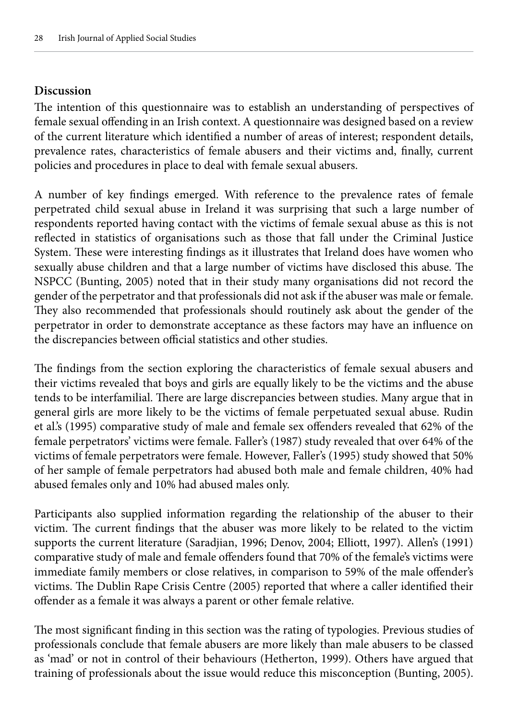### **Discussion**

The intention of this questionnaire was to establish an understanding of perspectives of female sexual offending in an Irish context. A questionnaire was designed based on a review of the current literature which identified a number of areas of interest; respondent details, prevalence rates, characteristics of female abusers and their victims and, finally, current policies and procedures in place to deal with female sexual abusers.

A number of key findings emerged. With reference to the prevalence rates of female perpetrated child sexual abuse in Ireland it was surprising that such a large number of respondents reported having contact with the victims of female sexual abuse as this is not reflected in statistics of organisations such as those that fall under the Criminal Justice System. These were interesting findings as it illustrates that Ireland does have women who sexually abuse children and that a large number of victims have disclosed this abuse. The NSPCC (Bunting, 2005) noted that in their study many organisations did not record the gender of the perpetrator and that professionals did not ask if the abuser was male or female. They also recommended that professionals should routinely ask about the gender of the perpetrator in order to demonstrate acceptance as these factors may have an influence on the discrepancies between official statistics and other studies.

The findings from the section exploring the characteristics of female sexual abusers and their victims revealed that boys and girls are equally likely to be the victims and the abuse tends to be interfamilial. There are large discrepancies between studies. Many argue that in general girls are more likely to be the victims of female perpetuated sexual abuse. Rudin et al.'s (1995) comparative study of male and female sex offenders revealed that 62% of the female perpetrators' victims were female. Faller's (1987) study revealed that over 64% of the victims of female perpetrators were female. However, Faller's (1995) study showed that 50% of her sample of female perpetrators had abused both male and female children, 40% had abused females only and 10% had abused males only.

Participants also supplied information regarding the relationship of the abuser to their victim. The current findings that the abuser was more likely to be related to the victim supports the current literature (Saradjian, 1996; Denov, 2004; Elliott, 1997). Allen's (1991) comparative study of male and female offenders found that 70% of the female's victims were immediate family members or close relatives, in comparison to 59% of the male offender's victims. The Dublin Rape Crisis Centre (2005) reported that where a caller identified their offender as a female it was always a parent or other female relative.

The most significant finding in this section was the rating of typologies. Previous studies of professionals conclude that female abusers are more likely than male abusers to be classed as 'mad' or not in control of their behaviours (Hetherton, 1999). Others have argued that training of professionals about the issue would reduce this misconception (Bunting, 2005).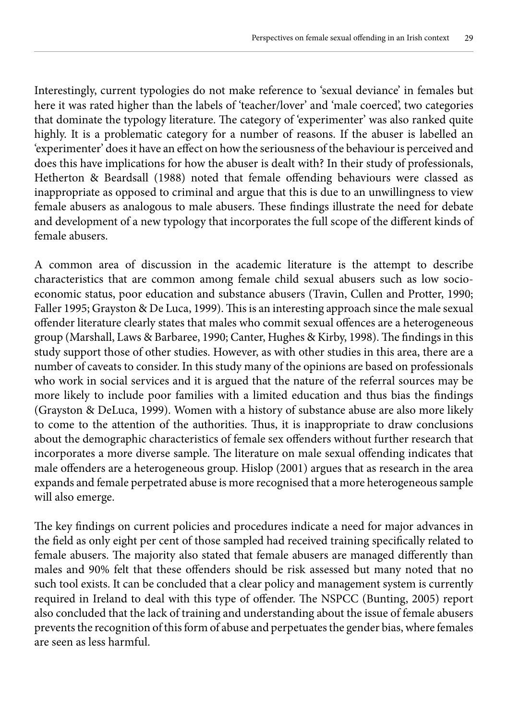Interestingly, current typologies do not make reference to 'sexual deviance' in females but here it was rated higher than the labels of 'teacher/lover' and 'male coerced', two categories that dominate the typology literature. The category of 'experimenter' was also ranked quite highly. It is a problematic category for a number of reasons. If the abuser is labelled an 'experimenter' does it have an effect on how the seriousness of the behaviour is perceived and does this have implications for how the abuser is dealt with? In their study of professionals, Hetherton & Beardsall (1988) noted that female offending behaviours were classed as inappropriate as opposed to criminal and argue that this is due to an unwillingness to view female abusers as analogous to male abusers. These findings illustrate the need for debate and development of a new typology that incorporates the full scope of the different kinds of female abusers.

A common area of discussion in the academic literature is the attempt to describe characteristics that are common among female child sexual abusers such as low socioeconomic status, poor education and substance abusers (Travin, Cullen and Protter, 1990; Faller 1995; Grayston & De Luca, 1999). This is an interesting approach since the male sexual offender literature clearly states that males who commit sexual offences are a heterogeneous group (Marshall, Laws & Barbaree, 1990; Canter, Hughes & Kirby, 1998). The findings in this study support those of other studies. However, as with other studies in this area, there are a number of caveats to consider. In this study many of the opinions are based on professionals who work in social services and it is argued that the nature of the referral sources may be more likely to include poor families with a limited education and thus bias the findings (Grayston & DeLuca, 1999). Women with a history of substance abuse are also more likely to come to the attention of the authorities. Thus, it is inappropriate to draw conclusions about the demographic characteristics of female sex offenders without further research that incorporates a more diverse sample. The literature on male sexual offending indicates that male offenders are a heterogeneous group. Hislop (2001) argues that as research in the area expands and female perpetrated abuse is more recognised that a more heterogeneous sample will also emerge.

The key findings on current policies and procedures indicate a need for major advances in the field as only eight per cent of those sampled had received training specifically related to female abusers. The majority also stated that female abusers are managed differently than males and 90% felt that these offenders should be risk assessed but many noted that no such tool exists. It can be concluded that a clear policy and management system is currently required in Ireland to deal with this type of offender. The NSPCC (Bunting, 2005) report also concluded that the lack of training and understanding about the issue of female abusers prevents the recognition of this form of abuse and perpetuates the gender bias, where females are seen as less harmful.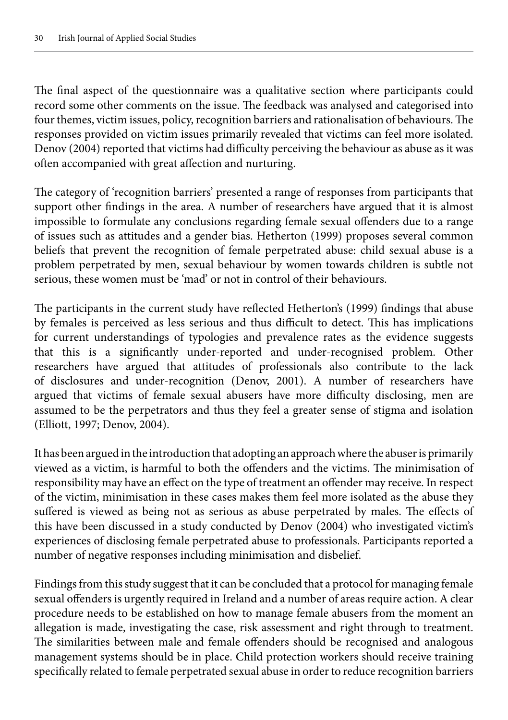The final aspect of the questionnaire was a qualitative section where participants could record some other comments on the issue. The feedback was analysed and categorised into four themes, victim issues, policy, recognition barriers and rationalisation of behaviours. The responses provided on victim issues primarily revealed that victims can feel more isolated. Denov (2004) reported that victims had difficulty perceiving the behaviour as abuse as it was often accompanied with great affection and nurturing.

The category of 'recognition barriers' presented a range of responses from participants that support other findings in the area. A number of researchers have argued that it is almost impossible to formulate any conclusions regarding female sexual offenders due to a range of issues such as attitudes and a gender bias. Hetherton (1999) proposes several common beliefs that prevent the recognition of female perpetrated abuse: child sexual abuse is a problem perpetrated by men, sexual behaviour by women towards children is subtle not serious, these women must be 'mad' or not in control of their behaviours.

The participants in the current study have reflected Hetherton's (1999) findings that abuse by females is perceived as less serious and thus difficult to detect. This has implications for current understandings of typologies and prevalence rates as the evidence suggests that this is a significantly under-reported and under-recognised problem. Other researchers have argued that attitudes of professionals also contribute to the lack of disclosures and under-recognition (Denov, 2001). A number of researchers have argued that victims of female sexual abusers have more difficulty disclosing, men are assumed to be the perpetrators and thus they feel a greater sense of stigma and isolation (Elliott, 1997; Denov, 2004).

It has been argued in the introduction that adopting an approach where the abuser is primarily viewed as a victim, is harmful to both the offenders and the victims. The minimisation of responsibility may have an effect on the type of treatment an offender may receive. In respect of the victim, minimisation in these cases makes them feel more isolated as the abuse they suffered is viewed as being not as serious as abuse perpetrated by males. The effects of this have been discussed in a study conducted by Denov (2004) who investigated victim's experiences of disclosing female perpetrated abuse to professionals. Participants reported a number of negative responses including minimisation and disbelief.

Findings from this study suggest that it can be concluded that a protocol for managing female sexual offenders is urgently required in Ireland and a number of areas require action. A clear procedure needs to be established on how to manage female abusers from the moment an allegation is made, investigating the case, risk assessment and right through to treatment. The similarities between male and female offenders should be recognised and analogous management systems should be in place. Child protection workers should receive training specifically related to female perpetrated sexual abuse in order to reduce recognition barriers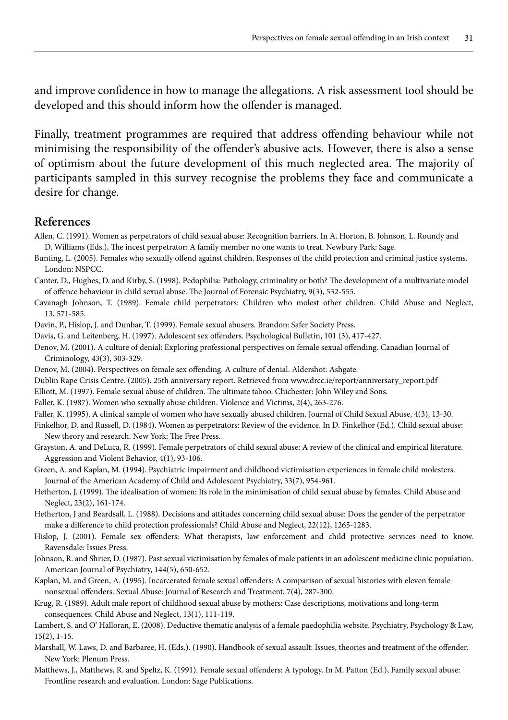and improve confidence in how to manage the allegations. A risk assessment tool should be developed and this should inform how the offender is managed.

Finally, treatment programmes are required that address offending behaviour while not minimising the responsibility of the offender's abusive acts. However, there is also a sense of optimism about the future development of this much neglected area. The majority of participants sampled in this survey recognise the problems they face and communicate a desire for change.

#### **References**

- Allen, C. (1991). Women as perpetrators of child sexual abuse: Recognition barriers. In A. Horton, B. Johnson, L. Roundy and D. Williams (Eds.), The incest perpetrator: A family member no one wants to treat. Newbury Park: Sage.
- Bunting, L. (2005). Females who sexually offend against children. Responses of the child protection and criminal justice systems. London: NSPCC.
- Canter, D., Hughes, D. and Kirby, S. (1998). Pedophilia: Pathology, criminality or both? The development of a multivariate model of offence behaviour in child sexual abuse. The Journal of Forensic Psychiatry, 9(3), 532-555.

Cavanagh Johnson, T. (1989). Female child perpetrators: Children who molest other children. Child Abuse and Neglect, 13, 571-585.

Davin, P., Hislop, J. and Dunbar, T. (1999). Female sexual abusers. Brandon: Safer Society Press.

- Davis, G. and Leitenberg, H. (1997). Adolescent sex offenders. Psychological Bulletin, 101 (3), 417-427.
- Denov, M. (2001). A culture of denial: Exploring professional perspectives on female sexual offending. Canadian Journal of Criminology, 43(3), 303-329.
- Denov, M. (2004). Perspectives on female sex offending. A culture of denial. Aldershot: Ashgate.

Dublin Rape Crisis Centre. (2005). 25th anniversary report. Retrieved from www.drcc.ie/report/anniversary\_report.pdf

Elliott, M. (1997). Female sexual abuse of children. The ultimate taboo. Chichester: John Wiley and Sons.

Faller, K. (1987). Women who sexually abuse children. Violence and Victims, 2(4), 263-276.

Faller, K. (1995). A clinical sample of women who have sexually abused children. Journal of Child Sexual Abuse, 4(3), 13-30.

- Finkelhor, D. and Russell, D. (1984). Women as perpetrators: Review of the evidence. In D. Finkelhor (Ed.). Child sexual abuse: New theory and research. New York: The Free Press.
- Grayston, A. and DeLuca, R. (1999). Female perpetrators of child sexual abuse: A review of the clinical and empirical literature. Aggression and Violent Behavior, 4(1), 93-106.
- Green, A. and Kaplan, M. (1994). Psychiatric impairment and childhood victimisation experiences in female child molesters. Journal of the American Academy of Child and Adolescent Psychiatry, 33(7), 954-961.
- Hetherton, J. (1999). The idealisation of women: Its role in the minimisation of child sexual abuse by females. Child Abuse and Neglect, 23(2), 161-174.
- Hetherton, J and Beardsall, L. (1988). Decisions and attitudes concerning child sexual abuse: Does the gender of the perpetrator make a difference to child protection professionals? Child Abuse and Neglect, 22(12), 1265-1283.
- Hislop, J. (2001). Female sex offenders: What therapists, law enforcement and child protective services need to know. Ravensdale: Issues Press.
- Johnson, R. and Shrier, D. (1987). Past sexual victimisation by females of male patients in an adolescent medicine clinic population. American Journal of Psychiatry, 144(5), 650-652.
- Kaplan, M. and Green, A. (1995). Incarcerated female sexual offenders: A comparison of sexual histories with eleven female nonsexual offenders. Sexual Abuse: Journal of Research and Treatment, 7(4), 287-300.
- Krug, R. (1989). Adult male report of childhood sexual abuse by mothers: Case descriptions, motivations and long-term consequences. Child Abuse and Neglect, 13(1), 111-119.
- Lambert, S. and O' Halloran, E. (2008). Deductive thematic analysis of a female paedophilia website. Psychiatry, Psychology & Law, 15(2), 1-15.
- Marshall, W. Laws, D. and Barbaree, H. (Eds.). (1990). Handbook of sexual assault: Issues, theories and treatment of the offender. New York: Plenum Press.
- Matthews, J., Matthews, R. and Speltz, K. (1991). Female sexual offenders: A typology. In M. Patton (Ed.), Family sexual abuse: Frontline research and evaluation. London: Sage Publications.